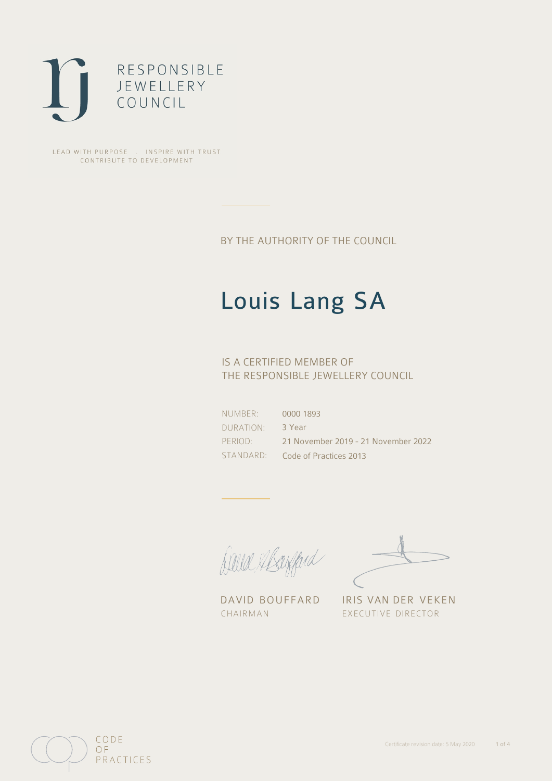

LEAD WITH PURPOSE . INSPIRE WITH TRUST CONTRIBUTE TO DEVELOPMENT

BY THE AUTHORITY OF THE COUNCIL

# Louis Lang SA

## IS A CERTIFIED MEMBER OF THE RESPONSIBLE JEWELLERY COUNCIL

NUMBER: DURATION: PERIOD: STANDARD: 0000 1893 3 Year 21 November 2019 - 21 November 2022 Code of Practices 2013

Caux Margaret

DAVID BOUFFARD IRIS VAN DER VEKEN CHAIRMAN EXECUTIVE DIRECTOR

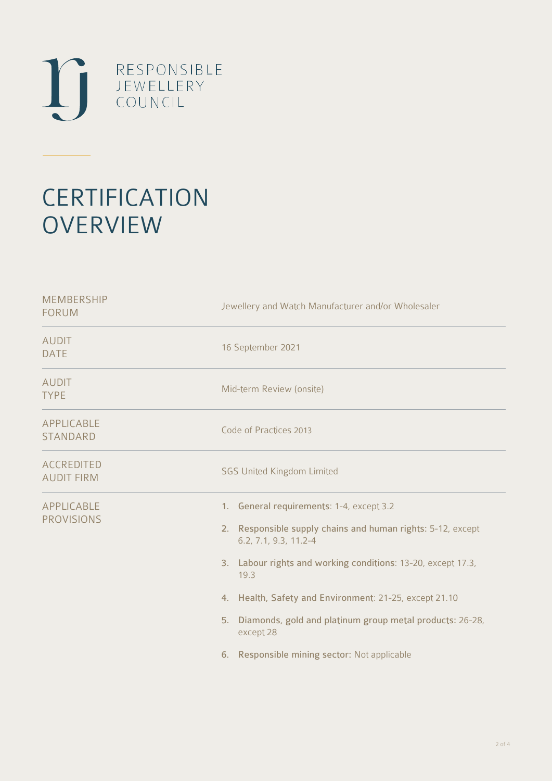

# **CERTIFICATION OVERVIEW**

| Jewellery and Watch Manufacturer and/or Wholesaler                                                                                                                                                                                                                                                                                                                                                |  |  |
|---------------------------------------------------------------------------------------------------------------------------------------------------------------------------------------------------------------------------------------------------------------------------------------------------------------------------------------------------------------------------------------------------|--|--|
| 16 September 2021                                                                                                                                                                                                                                                                                                                                                                                 |  |  |
| Mid-term Review (onsite)                                                                                                                                                                                                                                                                                                                                                                          |  |  |
| Code of Practices 2013                                                                                                                                                                                                                                                                                                                                                                            |  |  |
| <b>SGS United Kingdom Limited</b>                                                                                                                                                                                                                                                                                                                                                                 |  |  |
| 1. General requirements: 1-4, except 3.2<br>2. Responsible supply chains and human rights: 5-12, except<br>6.2, 7.1, 9.3, 11.2-4<br>3. Labour rights and working conditions: 13-20, except 17.3,<br>19.3<br>4. Health, Safety and Environment: 21-25, except 21.10<br>Diamonds, gold and platinum group metal products: 26-28,<br>5.<br>except 28<br>6. Responsible mining sector: Not applicable |  |  |
|                                                                                                                                                                                                                                                                                                                                                                                                   |  |  |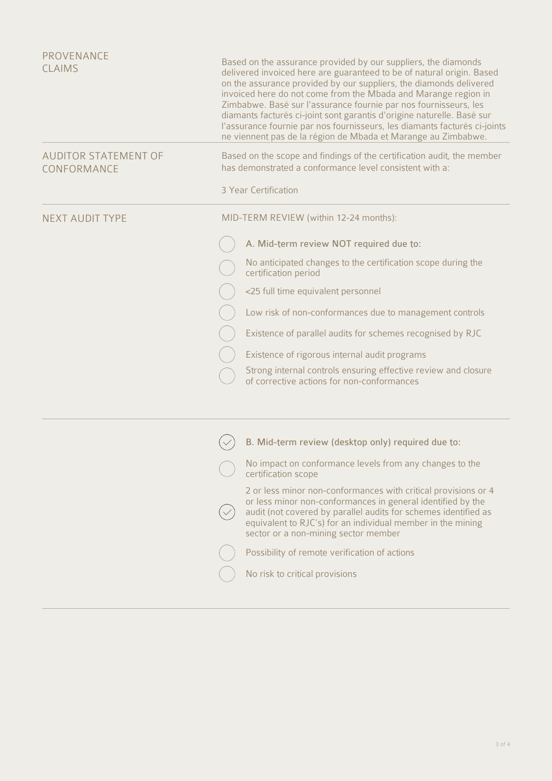| PROVENANCE<br><b>CLAIMS</b>                | Based on the assurance provided by our suppliers, the diamonds<br>delivered invoiced here are guaranteed to be of natural origin. Based<br>on the assurance provided by our suppliers, the diamonds delivered<br>invoiced here do not come from the Mbada and Marange region in<br>Zimbabwe. Basé sur l'assurance fournie par nos fournisseurs, les<br>diamants facturés ci-joint sont garantis d'origine naturelle. Basé sur<br>l'assurance fournie par nos fournisseurs, les diamants facturés ci-joints<br>ne viennent pas de la région de Mbada et Marange au Zimbabwe. |  |  |
|--------------------------------------------|-----------------------------------------------------------------------------------------------------------------------------------------------------------------------------------------------------------------------------------------------------------------------------------------------------------------------------------------------------------------------------------------------------------------------------------------------------------------------------------------------------------------------------------------------------------------------------|--|--|
| <b>AUDITOR STATEMENT OF</b><br>CONFORMANCE | Based on the scope and findings of the certification audit, the member<br>has demonstrated a conformance level consistent with a:                                                                                                                                                                                                                                                                                                                                                                                                                                           |  |  |
|                                            | 3 Year Certification                                                                                                                                                                                                                                                                                                                                                                                                                                                                                                                                                        |  |  |
| <b>NEXT AUDIT TYPE</b>                     | MID-TERM REVIEW (within 12-24 months):                                                                                                                                                                                                                                                                                                                                                                                                                                                                                                                                      |  |  |
|                                            | A. Mid-term review NOT required due to:                                                                                                                                                                                                                                                                                                                                                                                                                                                                                                                                     |  |  |
|                                            | No anticipated changes to the certification scope during the<br>certification period                                                                                                                                                                                                                                                                                                                                                                                                                                                                                        |  |  |
|                                            | <25 full time equivalent personnel                                                                                                                                                                                                                                                                                                                                                                                                                                                                                                                                          |  |  |
|                                            | Low risk of non-conformances due to management controls                                                                                                                                                                                                                                                                                                                                                                                                                                                                                                                     |  |  |
|                                            | Existence of parallel audits for schemes recognised by RJC                                                                                                                                                                                                                                                                                                                                                                                                                                                                                                                  |  |  |
|                                            | Existence of rigorous internal audit programs                                                                                                                                                                                                                                                                                                                                                                                                                                                                                                                               |  |  |
|                                            | Strong internal controls ensuring effective review and closure<br>of corrective actions for non-conformances                                                                                                                                                                                                                                                                                                                                                                                                                                                                |  |  |
|                                            |                                                                                                                                                                                                                                                                                                                                                                                                                                                                                                                                                                             |  |  |
|                                            | B. Mid-term review (desktop only) required due to:                                                                                                                                                                                                                                                                                                                                                                                                                                                                                                                          |  |  |
|                                            | No impact on conformance levels from any changes to the<br>certification scope                                                                                                                                                                                                                                                                                                                                                                                                                                                                                              |  |  |
|                                            | 2 or less minor non-conformances with critical provisions or 4<br>or less minor non-conformances in general identified by the<br>audit (not covered by parallel audits for schemes identified as<br>equivalent to RJC's) for an individual member in the mining<br>sector or a non-mining sector member                                                                                                                                                                                                                                                                     |  |  |
|                                            | Possibility of remote verification of actions                                                                                                                                                                                                                                                                                                                                                                                                                                                                                                                               |  |  |
|                                            | No risk to critical provisions                                                                                                                                                                                                                                                                                                                                                                                                                                                                                                                                              |  |  |